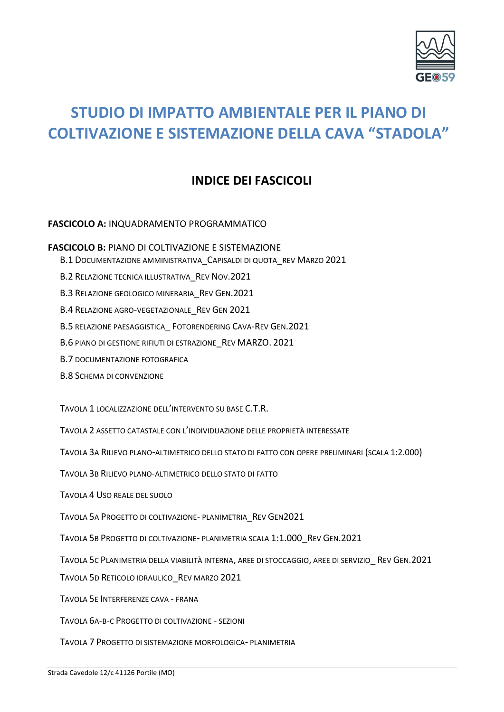

# **STUDIO DI IMPATTO AMBIENTALE PER IL PIANO DI COLTIVAZIONE E SISTEMAZIONE DELLA CAVA "STADOLA"**

## **INDICE DEI FASCICOLI**

## **FASCICOLO A:** INQUADRAMENTO PROGRAMMATICO

**FASCICOLO B:** PIANO DI COLTIVAZIONE E SISTEMAZIONE

B.1 DOCUMENTAZIONE AMMINISTRATIVA\_CAPISALDI DI QUOTA\_REV MARZO 2021

B.2 RELAZIONE TECNICA ILLUSTRATIVA REV NOV.2021

B.3 RELAZIONE GEOLOGICO MINERARIA REV GEN.2021

B.4 RELAZIONE AGRO-VEGETAZIONALE REV GEN 2021

B.5 RELAZIONE PAESAGGISTICA\_ FOTORENDERING CAVA-REV GEN.2021

B.6 PIANO DI GESTIONE RIFIUTI DI ESTRAZIONE\_REV MARZO. 2021

B.7 DOCUMENTAZIONE FOTOGRAFICA

B.8 SCHEMA DI CONVENZIONE

TAVOLA 1 LOCALIZZAZIONE DELL'INTERVENTO SU BASE C.T.R.

TAVOLA 2 ASSETTO CATASTALE CON L'INDIVIDUAZIONE DELLE PROPRIETÀ INTERESSATE

TAVOLA 3A RILIEVO PLANO-ALTIMETRICO DELLO STATO DI FATTO CON OPERE PRELIMINARI (SCALA 1:2.000)

TAVOLA 3B RILIEVO PLANO-ALTIMETRICO DELLO STATO DI FATTO

TAVOLA 4 USO REALE DEL SUOLO

TAVOLA 5A PROGETTO DI COLTIVAZIONE- PLANIMETRIA\_REV GEN2021

TAVOLA 5B PROGETTO DI COLTIVAZIONE- PLANIMETRIA SCALA 1:1.000\_REV GEN.2021

TAVOLA 5C PLANIMETRIA DELLA VIABILITÀ INTERNA, AREE DI STOCCAGGIO, AREE DI SERVIZIO\_ REV GEN.2021

TAVOLA 5D RETICOLO IDRAULICO\_REV MARZO 2021

TAVOLA 5E INTERFERENZE CAVA - FRANA

TAVOLA 6A-B-C PROGETTO DI COLTIVAZIONE - SEZIONI

TAVOLA 7 PROGETTO DI SISTEMAZIONE MORFOLOGICA- PLANIMETRIA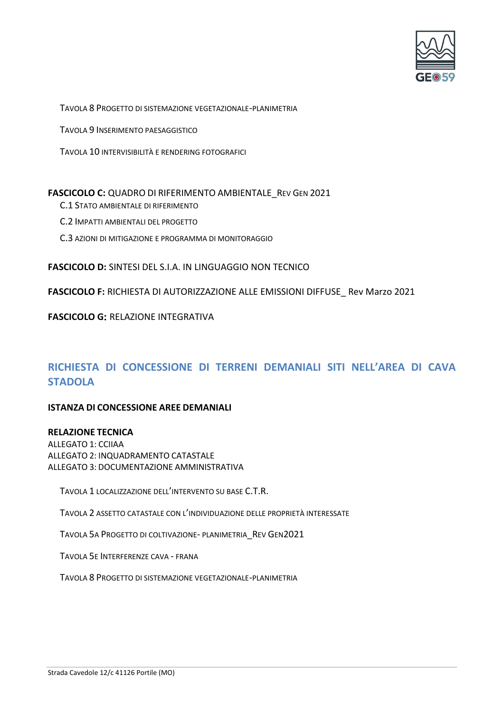

TAVOLA 8 PROGETTO DI SISTEMAZIONE VEGETAZIONALE-PLANIMETRIA

TAVOLA 9 INSERIMENTO PAESAGGISTICO

TAVOLA 10 INTERVISIBILITÀ E RENDERING FOTOGRAFICI

### FASCICOLO C: QUADRO DI RIFERIMENTO AMBIENTALE REV GEN 2021

- C.1 STATO AMBIENTALE DI RIFERIMENTO
- C.2 IMPATTI AMBIENTALI DEL PROGETTO
- C.3 AZIONI DI MITIGAZIONE E PROGRAMMA DI MONITORAGGIO

**FASCICOLO D:** SINTESI DEL S.I.A. IN LINGUAGGIO NON TECNICO

**FASCICOLO F:** RICHIESTA DI AUTORIZZAZIONE ALLE EMISSIONI DIFFUSE\_ Rev Marzo 2021

**FASCICOLO G: RELAZIONE INTEGRATIVA** 

## **RICHIESTA DI CONCESSIONE DI TERRENI DEMANIALI SITI NELL'AREA DI CAVA STADOLA**

### **ISTANZA DI CONCESSIONE AREE DEMANIALI**

### **RELAZIONE TECNICA**

ALLEGATO 1: CCIIAA ALLEGATO 2: INQUADRAMENTO CATASTALE ALLEGATO 3: DOCUMENTAZIONE AMMINISTRATIVA

TAVOLA 1 LOCALIZZAZIONE DELL'INTERVENTO SU BASE C.T.R.

TAVOLA 2 ASSETTO CATASTALE CON L'INDIVIDUAZIONE DELLE PROPRIETÀ INTERESSATE

TAVOLA 5A PROGETTO DI COLTIVAZIONE- PLANIMETRIA\_REV GEN2021

TAVOLA 5E INTERFERENZE CAVA - FRANA

TAVOLA 8 PROGETTO DI SISTEMAZIONE VEGETAZIONALE-PLANIMETRIA